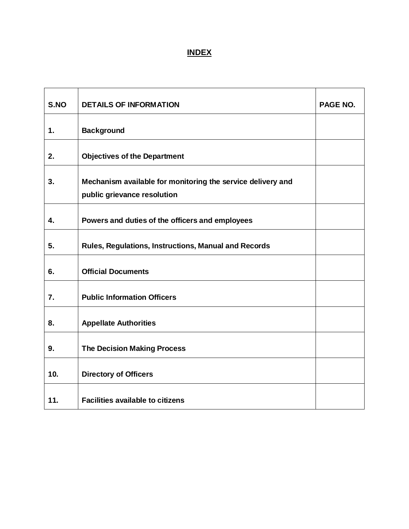# **INDEX**

| S.NO | <b>DETAILS OF INFORMATION</b>                                                              | PAGE NO. |
|------|--------------------------------------------------------------------------------------------|----------|
| 1.   | <b>Background</b>                                                                          |          |
| 2.   | <b>Objectives of the Department</b>                                                        |          |
| 3.   | Mechanism available for monitoring the service delivery and<br>public grievance resolution |          |
| 4.   | Powers and duties of the officers and employees                                            |          |
| 5.   | <b>Rules, Regulations, Instructions, Manual and Records</b>                                |          |
| 6.   | <b>Official Documents</b>                                                                  |          |
| 7.   | <b>Public Information Officers</b>                                                         |          |
| 8.   | <b>Appellate Authorities</b>                                                               |          |
| 9.   | <b>The Decision Making Process</b>                                                         |          |
| 10.  | <b>Directory of Officers</b>                                                               |          |
| 11.  | <b>Facilities available to citizens</b>                                                    |          |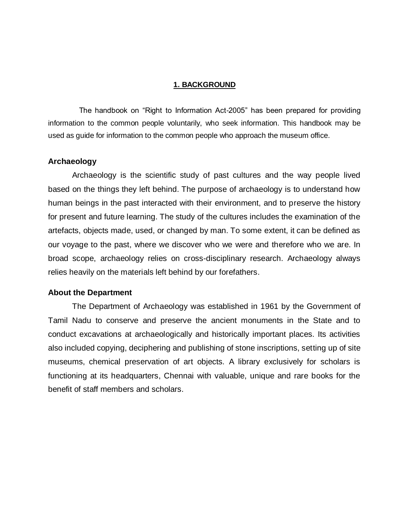#### **1. BACKGROUND**

 The handbook on "Right to Information Act-2005" has been prepared for providing information to the common people voluntarily, who seek information. This handbook may be used as guide for information to the common people who approach the museum office.

#### **Archaeology**

Archaeology is the scientific study of past cultures and the way people lived based on the things they left behind. The purpose of archaeology is to understand how human beings in the past interacted with their environment, and to preserve the history for present and future learning. The study of the cultures includes the examination of the artefacts, objects made, used, or changed by man. To some extent, it can be defined as our voyage to the past, where we discover who we were and therefore who we are. In broad scope, archaeology relies on cross-disciplinary research. Archaeology always relies heavily on the materials left behind by our forefathers.

#### **About the Department**

The Department of Archaeology was established in 1961 by the Government of Tamil Nadu to conserve and preserve the ancient monuments in the State and to conduct excavations at archaeologically and historically important places. Its activities also included copying, deciphering and publishing of stone inscriptions, setting up of site museums, chemical preservation of art objects. A library exclusively for scholars is functioning at its headquarters, Chennai with valuable, unique and rare books for the benefit of staff members and scholars.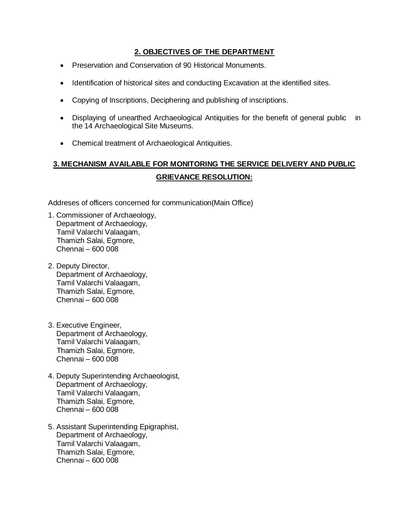### **2. OBJECTIVES OF THE DEPARTMENT**

- Preservation and Conservation of 90 Historical Monuments.
- Identification of historical sites and conducting Excavation at the identified sites.
- Copying of Inscriptions, Deciphering and publishing of inscriptions.
- Displaying of unearthed Archaeological Antiquities for the benefit of general public in the 14 Archaeological Site Museums.
- Chemical treatment of Archaeological Antiquities.

# **3. MECHANISM AVAILABLE FOR MONITORING THE SERVICE DELIVERY AND PUBLIC GRIEVANCE RESOLUTION:**

Addreses of officers concerned for communication(Main Office)

- 1. Commissioner of Archaeology, Department of Archaeology, Tamil Valarchi Valaagam, Thamizh Salai, Egmore, Chennai – 600 008
- 2. Deputy Director, Department of Archaeology, Tamil Valarchi Valaagam, Thamizh Salai, Egmore, Chennai – 600 008
- 3. Executive Engineer, Department of Archaeology, Tamil Valarchi Valaagam, Thamizh Salai, Egmore, Chennai – 600 008
- 4. Deputy Superintending Archaeologist, Department of Archaeology, Tamil Valarchi Valaagam, Thamizh Salai, Egmore, Chennai – 600 008
- 5. Assistant Superintending Epigraphist, Department of Archaeology, Tamil Valarchi Valaagam, Thamizh Salai, Egmore, Chennai – 600 008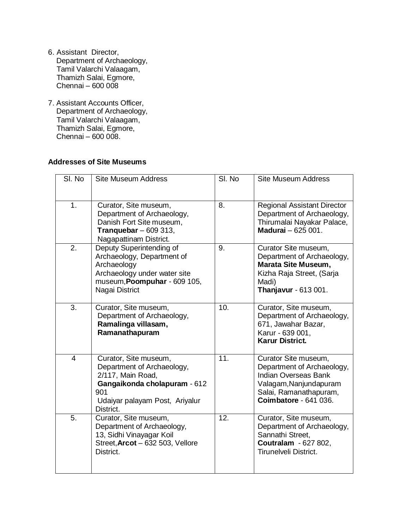- 6. Assistant Director, Department of Archaeology, Tamil Valarchi Valaagam, Thamizh Salai, Egmore, Chennai – 600 008
- 7. Assistant Accounts Officer, Department of Archaeology, Tamil Valarchi Valaagam, Thamizh Salai, Egmore, Chennai – 600 008.

#### **Addresses of Site Museums**

| SI. No           | <b>Site Museum Address</b>                                                                                                                                     | SI. No | <b>Site Museum Address</b>                                                                                                                                     |
|------------------|----------------------------------------------------------------------------------------------------------------------------------------------------------------|--------|----------------------------------------------------------------------------------------------------------------------------------------------------------------|
| 1.               | Curator, Site museum,<br>Department of Archaeology,<br>Danish Fort Site museum,<br>Tranquebar $-609313$ ,<br>Nagapattinam District.                            | 8.     | <b>Regional Assistant Director</b><br>Department of Archaeology,<br>Thirumalai Nayakar Palace,<br><b>Madurai</b> - 625 001.                                    |
| $\overline{2}$ . | Deputy Superintending of<br>Archaeology, Department of<br>Archaeology<br>Archaeology under water site<br>museum, Poompuhar - 609 105,<br>Nagai District        | 9.     | Curator Site museum,<br>Department of Archaeology,<br>Marata Site Museum,<br>Kizha Raja Street, (Sarja<br>Madi)<br>Thanjavur - 613 001.                        |
| 3.               | Curator, Site museum,<br>Department of Archaeology,<br>Ramalinga villasam,<br>Ramanathapuram                                                                   | 10.    | Curator, Site museum,<br>Department of Archaeology,<br>671, Jawahar Bazar,<br>Karur - 639 001,<br><b>Karur District.</b>                                       |
| $\overline{4}$   | Curator, Site museum,<br>Department of Archaeology,<br>2/117, Main Road,<br>Gangaikonda cholapuram - 612<br>901<br>Udaiyar palayam Post, Ariyalur<br>District. | 11.    | Curator Site museum,<br>Department of Archaeology,<br><b>Indian Overseas Bank</b><br>Valagam, Nanjundapuram<br>Salai, Ramanathapuram,<br>Coimbatore - 641 036. |
| 5.               | Curator, Site museum,<br>Department of Archaeology,<br>13, Sidhi Vinayagar Koil<br>Street, Arcot - 632 503, Vellore<br>District.                               | 12.    | Curator, Site museum,<br>Department of Archaeology,<br>Sannathi Street,<br>Coutralam - 627 802,<br>Tirunelveli District.                                       |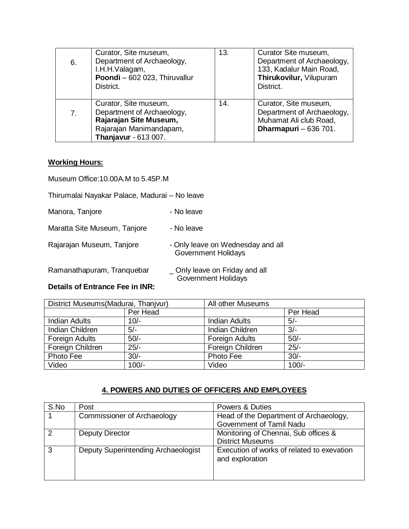| 6.             | Curator, Site museum,<br>Department of Archaeology,<br>I.H.H.Valagam,<br>Poondi - 602 023, Thiruvallur<br>District.              | 13. | Curator Site museum,<br>Department of Archaeology,<br>133, Kadalur Main Road,<br>Thirukovilur, Vilupuram<br>District. |
|----------------|----------------------------------------------------------------------------------------------------------------------------------|-----|-----------------------------------------------------------------------------------------------------------------------|
| 7 <sub>1</sub> | Curator, Site museum,<br>Department of Archaeology,<br>Rajarajan Site Museum,<br>Rajarajan Manimandapam,<br>Thanjavur - 613 007. | 14. | Curator, Site museum,<br>Department of Archaeology,<br>Muhamat Ali club Road,<br>Dharmapuri - 636 701.                |

#### **Working Hours:**

Museum Office:10.00A.M to 5.45P.M

Thirumalai Nayakar Palace, Madurai – No leave

Manora, Tanjore **- No leave** 

Maratta Site Museum, Tanjore - No leave Rajarajan Museum, Tanjore **- Only leave on Wednesday and all** Government Holidays

Ramanathapuram, Tranquebar \_ Only leave on Friday and all

Government Holidays

### **Details of Entrance Fee in INR:**

| District Museums (Madurai, Thanjvur) |          | All other Museums      |          |  |
|--------------------------------------|----------|------------------------|----------|--|
|                                      | Per Head |                        | Per Head |  |
| <b>Indian Adults</b>                 | $10/-$   | <b>Indian Adults</b>   | $5/-$    |  |
| <b>Indian Children</b>               | $5/-$    | <b>Indian Children</b> | $3/-$    |  |
| Foreign Adults                       | $50/-$   | Foreign Adults         | $50/-$   |  |
| Foreign Children                     | $25/-$   | Foreign Children       | $25/-$   |  |
| Photo Fee                            | $30/-$   | Photo Fee              | $30/-$   |  |
| Video                                | $100/-$  | Video                  | $100/-$  |  |

### **4. POWERS AND DUTIES OF OFFICERS AND EMPLOYEES**

| S.No | Post                                | <b>Powers &amp; Duties</b>                                    |
|------|-------------------------------------|---------------------------------------------------------------|
|      | <b>Commissioner of Archaeology</b>  | Head of the Department of Archaeology,                        |
|      |                                     | Government of Tamil Nadu                                      |
| 2    | Deputy Director                     | Monitoring of Chennai, Sub offices &                          |
|      |                                     | <b>District Museums</b>                                       |
| 3    | Deputy Superintending Archaeologist | Execution of works of related to exevation<br>and exploration |
|      |                                     |                                                               |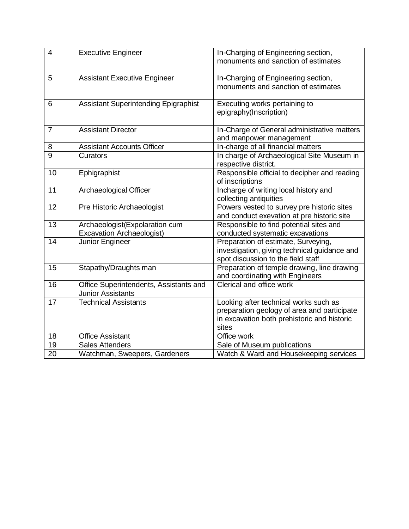| $\overline{4}$ | <b>Executive Engineer</b>                   | In-Charging of Engineering section,          |
|----------------|---------------------------------------------|----------------------------------------------|
|                |                                             | monuments and sanction of estimates          |
|                |                                             |                                              |
| 5              | <b>Assistant Executive Engineer</b>         | In-Charging of Engineering section,          |
|                |                                             | monuments and sanction of estimates          |
|                |                                             |                                              |
| 6              | <b>Assistant Superintending Epigraphist</b> | Executing works pertaining to                |
|                |                                             | epigraphy(Inscription)                       |
|                |                                             |                                              |
| $\overline{7}$ | <b>Assistant Director</b>                   | In-Charge of General administrative matters  |
|                |                                             | and manpower management                      |
| 8              | <b>Assistant Accounts Officer</b>           | In-charge of all financial matters           |
| $\overline{9}$ | Curators                                    | In charge of Archaeological Site Museum in   |
|                |                                             | respective district.                         |
| 10             | Ephigraphist                                | Responsible official to decipher and reading |
|                |                                             | of inscriptions                              |
| 11             | <b>Archaeological Officer</b>               | Incharge of writing local history and        |
|                |                                             | collecting antiquities                       |
| 12             | <b>Pre Historic Archaeologist</b>           | Powers vested to survey pre historic sites   |
|                |                                             | and conduct exevation at pre historic site   |
| 13             | Archaeologist(Expolaration cum              | Responsible to find potential sites and      |
|                | <b>Excavation Archaeologist)</b>            | conducted systematic excavations             |
| 14             | Junior Engineer                             | Preparation of estimate, Surveying,          |
|                |                                             | investigation, giving technical guidance and |
|                |                                             | spot discussion to the field staff           |
| 15             | Stapathy/Draughts man                       | Preparation of temple drawing, line drawing  |
|                |                                             | and coordinating with Engineers              |
| 16             | Office Superintendents, Assistants and      | Clerical and office work                     |
|                | <b>Junior Assistants</b>                    |                                              |
| 17             | <b>Technical Assistants</b>                 | Looking after technical works such as        |
|                |                                             | preparation geology of area and participate  |
|                |                                             | in excavation both prehistoric and historic  |
|                |                                             | sites                                        |
| 18             | <b>Office Assistant</b>                     | Office work                                  |
| 19             | <b>Sales Attenders</b>                      | Sale of Museum publications                  |
| 20             | Watchman, Sweepers, Gardeners               | Watch & Ward and Housekeeping services       |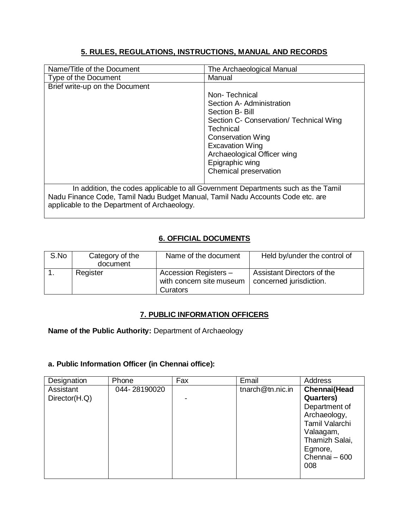## **5. RULES, REGULATIONS, INSTRUCTIONS, MANUAL AND RECORDS**

| Name/Title of the Document                                                     | The Archaeological Manual                                                         |
|--------------------------------------------------------------------------------|-----------------------------------------------------------------------------------|
| Type of the Document                                                           | Manual                                                                            |
| Brief write-up on the Document                                                 |                                                                                   |
|                                                                                | Non-Technical                                                                     |
|                                                                                | Section A-Administration                                                          |
|                                                                                | Section B- Bill                                                                   |
|                                                                                | Section C- Conservation/ Technical Wing                                           |
|                                                                                | Technical                                                                         |
|                                                                                | <b>Conservation Wing</b>                                                          |
|                                                                                | <b>Excavation Wing</b>                                                            |
|                                                                                | Archaeological Officer wing                                                       |
|                                                                                | Epigraphic wing                                                                   |
|                                                                                | Chemical preservation                                                             |
|                                                                                |                                                                                   |
| Nadu Finance Code, Tamil Nadu Budget Manual, Tamil Nadu Accounts Code etc. are | In addition, the codes applicable to all Government Departments such as the Tamil |
| applicable to the Department of Archaeology.                                   |                                                                                   |

## **6. OFFICIAL DOCUMENTS**

| S.No | Category of the<br>document | Name of the document                                          | Held by/under the control of                          |
|------|-----------------------------|---------------------------------------------------------------|-------------------------------------------------------|
|      | Register                    | Accession Registers -<br>with concern site museum<br>Curators | Assistant Directors of the<br>concerned jurisdiction. |

### **7. PUBLIC INFORMATION OFFICERS**

**Name of the Public Authority:** Department of Archaeology

#### **a. Public Information Officer (in Chennai office):**

| Designation                | Phone        | Fax | Email                | Address                                                                                                                                         |
|----------------------------|--------------|-----|----------------------|-------------------------------------------------------------------------------------------------------------------------------------------------|
| Assistant<br>Director(H.Q) | 044-28190020 |     | tnarch $@$ tn.nic.in | Chennai(Head<br><b>Quarters</b> )<br>Department of<br>Archaeology,<br>Tamil Valarchi<br>Valaagam,<br>Thamizh Salai,<br>Egmore,<br>Chennai - 600 |
|                            |              |     |                      | 008                                                                                                                                             |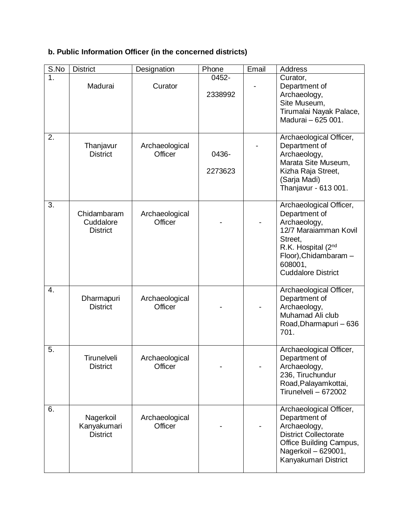# **b. Public Information Officer (in the concerned districts)**

| S.No             | <b>District</b>                             | Designation               | Phone            | Email | Address                                                                                                                                                                                  |
|------------------|---------------------------------------------|---------------------------|------------------|-------|------------------------------------------------------------------------------------------------------------------------------------------------------------------------------------------|
| 1 <sub>1</sub>   | Madurai                                     | Curator                   | 0452-<br>2338992 |       | Curator,<br>Department of<br>Archaeology,<br>Site Museum,<br>Tirumalai Nayak Palace,<br>Madurai - 625 001.                                                                               |
| 2.               | Thanjavur<br><b>District</b>                | Archaeological<br>Officer | 0436-<br>2273623 |       | Archaeological Officer,<br>Department of<br>Archaeology,<br>Marata Site Museum,<br>Kizha Raja Street,<br>(Sarja Madi)<br>Thanjavur - 613 001.                                            |
| 3.               | Chidambaram<br>Cuddalore<br><b>District</b> | Archaeological<br>Officer |                  |       | Archaeological Officer,<br>Department of<br>Archaeology,<br>12/7 Maraiamman Kovil<br>Street,<br>R.K. Hospital $(2^{nd}$<br>Floor), Chidambaram -<br>608001,<br><b>Cuddalore District</b> |
| $\overline{4}$ . | Dharmapuri<br><b>District</b>               | Archaeological<br>Officer |                  |       | Archaeological Officer,<br>Department of<br>Archaeology,<br>Muhamad Ali club<br>Road, Dharmapuri - 636<br>701.                                                                           |
| 5.               | Tirunelveli<br><b>District</b>              | Archaeological<br>Officer |                  |       | Archaeological Officer,<br>Department of<br>Archaeology,<br>236, Tiruchundur<br>Road, Palayamkottai,<br>Tirunelveli - 672002                                                             |
| 6.               | Nagerkoil<br>Kanyakumari<br><b>District</b> | Archaeological<br>Officer |                  |       | Archaeological Officer,<br>Department of<br>Archaeology,<br><b>District Collectorate</b><br>Office Building Campus,<br>Nagerkoil - 629001,<br>Kanyakumari District                       |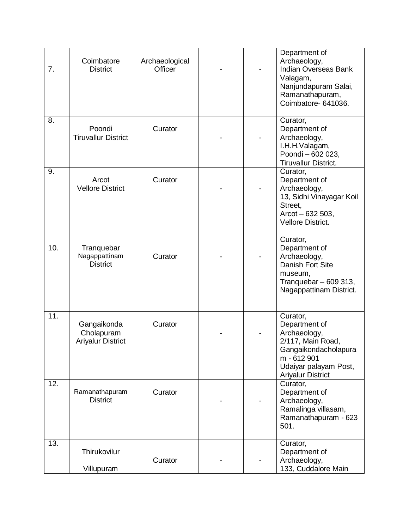| 7.  | Coimbatore<br><b>District</b>                         | Archaeological<br>Officer |  | Department of<br>Archaeology,<br><b>Indian Overseas Bank</b><br>Valagam,<br>Nanjundapuram Salai,<br>Ramanathapuram,<br>Coimbatore- 641036.                 |
|-----|-------------------------------------------------------|---------------------------|--|------------------------------------------------------------------------------------------------------------------------------------------------------------|
| 8.  | Poondi<br><b>Tiruvallur District</b>                  | Curator                   |  | Curator,<br>Department of<br>Archaeology,<br>I.H.H.Valagam,<br>Poondi - 602 023,<br>Tiruvallur District.                                                   |
| 9.  | Arcot<br><b>Vellore District</b>                      | Curator                   |  | Curator,<br>Department of<br>Archaeology,<br>13, Sidhi Vinayagar Koil<br>Street.<br>$Arcot - 632 503,$<br><b>Vellore District.</b>                         |
| 10. | Tranquebar<br>Nagappattinam<br><b>District</b>        | Curator                   |  | Curator,<br>Department of<br>Archaeology,<br><b>Danish Fort Site</b><br>museum,<br>Tranquebar - 609 313,<br>Nagappattinam District.                        |
| 11. | Gangaikonda<br>Cholapuram<br><b>Ariyalur District</b> | Curator                   |  | Curator,<br>Department of<br>Archaeology,<br>2/117, Main Road,<br>Gangaikondacholapura<br>m - 612 901<br>Udaiyar palayam Post,<br><b>Ariyalur District</b> |
| 12. | Ramanathapuram<br><b>District</b>                     | Curator                   |  | Curator,<br>Department of<br>Archaeology,<br>Ramalinga villasam,<br>Ramanathapuram - 623<br>501.                                                           |
| 13. | Thirukovilur<br>Villupuram                            | Curator                   |  | Curator,<br>Department of<br>Archaeology,<br>133, Cuddalore Main                                                                                           |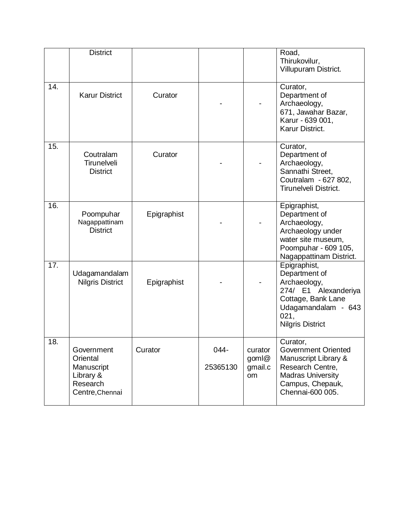|     | <b>District</b>                                                                  |             |                  |                                   | Road,<br>Thirukovilur,<br>Villupuram District.                                                                                                        |
|-----|----------------------------------------------------------------------------------|-------------|------------------|-----------------------------------|-------------------------------------------------------------------------------------------------------------------------------------------------------|
| 14. | <b>Karur District</b>                                                            | Curator     |                  |                                   | Curator,<br>Department of<br>Archaeology,<br>671, Jawahar Bazar,<br>Karur - 639 001,<br>Karur District.                                               |
| 15. | Coutralam<br>Tirunelveli<br><b>District</b>                                      | Curator     |                  |                                   | Curator,<br>Department of<br>Archaeology,<br>Sannathi Street,<br>Coutralam - 627 802,<br><b>Tirunelveli District.</b>                                 |
| 16. | Poompuhar<br>Nagappattinam<br><b>District</b>                                    | Epigraphist |                  |                                   | Epigraphist,<br>Department of<br>Archaeology,<br>Archaeology under<br>water site museum,<br>Poompuhar - 609 105,<br>Nagappattinam District.           |
| 17. | Udagamandalam<br><b>Nilgris District</b>                                         | Epigraphist |                  |                                   | Epigraphist,<br>Department of<br>Archaeology,<br>274/ E1 Alexanderiya<br>Cottage, Bank Lane<br>Udagamandalam - 643<br>021,<br><b>Nilgris District</b> |
| 18. | Government<br>Oriental<br>Manuscript<br>Library &<br>Research<br>Centre, Chennai | Curator     | 044-<br>25365130 | curator<br>goml@<br>gmail.c<br>om | Curator,<br>Government Oriented<br>Manuscript Library &<br>Research Centre,<br><b>Madras University</b><br>Campus, Chepauk,<br>Chennai-600 005.       |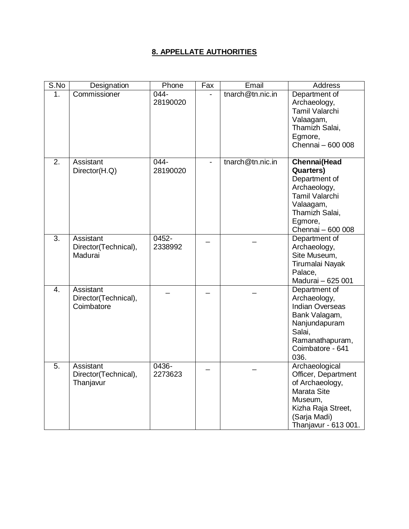## **8. APPELLATE AUTHORITIES**

| S.No             | Designation                                            | Phone               | Fax | Email            | <b>Address</b>                                                                                                                                             |
|------------------|--------------------------------------------------------|---------------------|-----|------------------|------------------------------------------------------------------------------------------------------------------------------------------------------------|
| 1.               | Commissioner                                           | 044-<br>28190020    |     | tnarch@tn.nic.in | Department of<br>Archaeology,<br>Tamil Valarchi<br>Valaagam,<br>Thamizh Salai,<br>Egmore,<br>Chennai - 600 008                                             |
| $\overline{2}$ . | Assistant<br>Director(H.Q)                             | $044 -$<br>28190020 |     | tnarch@tn.nic.in | <b>Chennai</b> (Head<br><b>Quarters)</b><br>Department of<br>Archaeology,<br>Tamil Valarchi<br>Valaagam,<br>Thamizh Salai,<br>Egmore,<br>Chennai - 600 008 |
| $\overline{3}$ . | Assistant<br>Director(Technical),<br>Madurai           | 0452-<br>2338992    |     |                  | Department of<br>Archaeology,<br>Site Museum,<br>Tirumalai Nayak<br>Palace,<br>Madurai - 625 001                                                           |
| $\overline{4}$ . | <b>Assistant</b><br>Director(Technical),<br>Coimbatore |                     |     |                  | Department of<br>Archaeology,<br><b>Indian Overseas</b><br>Bank Valagam,<br>Nanjundapuram<br>Salai,<br>Ramanathapuram,<br>Coimbatore - 641<br>036.         |
| 5.               | Assistant<br>Director(Technical),<br>Thanjavur         | 0436-<br>2273623    |     |                  | Archaeological<br>Officer, Department<br>of Archaeology,<br><b>Marata Site</b><br>Museum,<br>Kizha Raja Street,<br>(Sarja Madi)<br>Thanjavur - 613 001.    |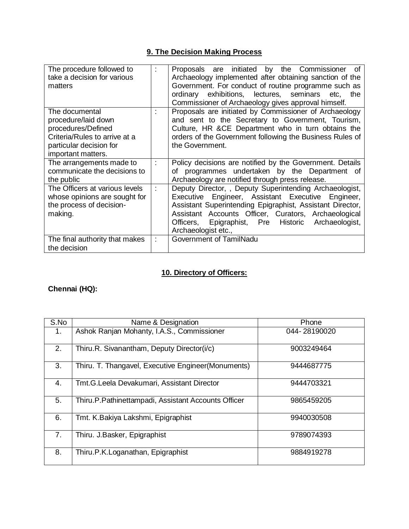# **9. The Decision Making Process**

| The procedure followed to<br>take a decision for various<br>matters                                                                           | initiated<br>by the Commissioner<br>Proposals are<br>0f<br>Archaeology implemented after obtaining sanction of the<br>Government. For conduct of routine programme such as<br>ordinary exhibitions, lectures, seminars etc,<br>the<br>Commissioner of Archaeology gives approval himself.                           |
|-----------------------------------------------------------------------------------------------------------------------------------------------|---------------------------------------------------------------------------------------------------------------------------------------------------------------------------------------------------------------------------------------------------------------------------------------------------------------------|
| The documental<br>procedure/laid down<br>procedures/Defined<br>Criteria/Rules to arrive at a<br>particular decision for<br>important matters. | Proposals are initiated by Commissioner of Archaeology<br>and sent to the Secretary to Government, Tourism,<br>Culture, HR &CE Department who in turn obtains the<br>orders of the Government following the Business Rules of<br>the Government.                                                                    |
| The arrangements made to<br>communicate the decisions to<br>the public                                                                        | Policy decisions are notified by the Government. Details<br>of programmes undertaken by the Department of<br>Archaeology are notified through press release.                                                                                                                                                        |
| The Officers at various levels<br>whose opinions are sought for<br>the process of decision-<br>making.                                        | Deputy Director,, Deputy Superintending Archaeologist,<br>Engineer, Assistant Executive Engineer,<br>Executive<br>Assistant Superintending Epigraphist, Assistant Director,<br>Assistant Accounts Officer, Curators, Archaeological<br>Epigraphist, Pre Historic Archaeologist,<br>Officers,<br>Archaeologist etc., |
| The final authority that makes<br>the decision                                                                                                | Government of TamilNadu                                                                                                                                                                                                                                                                                             |

# **10. Directory of Officers:**

# **Chennai (HQ):**

| S.No           | Name & Designation                                  | Phone        |
|----------------|-----------------------------------------------------|--------------|
| 1.             | Ashok Ranjan Mohanty, I.A.S., Commissioner          | 044-28190020 |
| 2.             | Thiru.R. Sivanantham, Deputy Director(i/c)          | 9003249464   |
| 3.             | Thiru. T. Thangavel, Executive Engineer(Monuments)  | 9444687775   |
| 4.             | Tmt.G.Leela Devakumari, Assistant Director          | 9444703321   |
| 5.             | Thiru.P.Pathinettampadi, Assistant Accounts Officer | 9865459205   |
| 6.             | Tmt. K.Bakiya Lakshmi, Epigraphist                  | 9940030508   |
| 7 <sub>1</sub> | Thiru. J.Basker, Epigraphist                        | 9789074393   |
| 8.             | Thiru.P.K.Loganathan, Epigraphist                   | 9884919278   |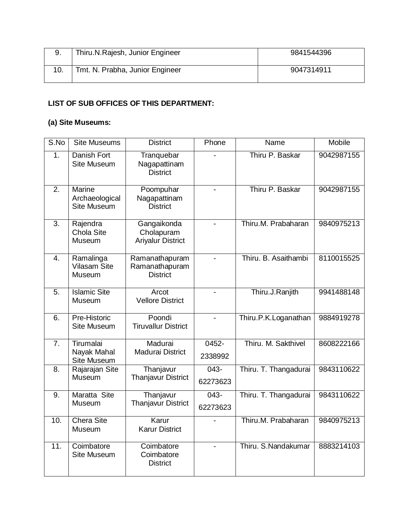| 9. | Thiru.N.Rajesh, Junior Engineer | 9841544396 |
|----|---------------------------------|------------|
|    | Tmt. N. Prabha, Junior Engineer | 9047314911 |

## **LIST OF SUB OFFICES OF THIS DEPARTMENT:**

# **(a) Site Museums:**

| S.No             | <b>Site Museums</b>                                   | <b>District</b>                                       | Phone               | Name                  | Mobile     |
|------------------|-------------------------------------------------------|-------------------------------------------------------|---------------------|-----------------------|------------|
| 1.               | Danish Fort<br>Site Museum                            | Tranquebar<br>Nagapattinam<br><b>District</b>         |                     | Thiru P. Baskar       | 9042987155 |
| 2.               | <b>Marine</b><br>Archaeological<br><b>Site Museum</b> | Poompuhar<br>Nagapattinam<br><b>District</b>          |                     | Thiru P. Baskar       | 9042987155 |
| 3.               | Rajendra<br>Chola Site<br>Museum                      | Gangaikonda<br>Cholapuram<br><b>Ariyalur District</b> |                     | Thiru.M. Prabaharan   | 9840975213 |
| 4.               | Ramalinga<br><b>Vilasam Site</b><br>Museum            | Ramanathapuram<br>Ramanathapuram<br><b>District</b>   |                     | Thiru. B. Asaithambi  | 8110015525 |
| 5.               | <b>Islamic Site</b><br>Museum                         | Arcot<br><b>Vellore District</b>                      |                     | Thiru.J.Ranjith       | 9941488148 |
| 6.               | Pre-Historic<br>Site Museum                           | Poondi<br><b>Tiruvallur District</b>                  |                     | Thiru.P.K.Loganathan  | 9884919278 |
| 7.               | Tirumalai<br>Nayak Mahal<br>Site Museum               | Madurai<br><b>Madurai District</b>                    | 0452-<br>2338992    | Thiru. M. Sakthivel   | 8608222166 |
| 8.               | Rajarajan Site<br>Museum                              | Thanjavur<br><b>Thanjavur District</b>                | 043-<br>62273623    | Thiru. T. Thangadurai | 9843110622 |
| $\overline{9}$ . | Maratta Site<br>Museum                                | Thanjavur<br><b>Thanjavur District</b>                | $043 -$<br>62273623 | Thiru. T. Thangadurai | 9843110622 |
| 10.              | <b>Chera Site</b><br>Museum                           | Karur<br><b>Karur District</b>                        |                     | Thiru.M. Prabaharan   | 9840975213 |
| 11.              | Coimbatore<br>Site Museum                             | Coimbatore<br>Coimbatore<br><b>District</b>           |                     | Thiru. S.Nandakumar   | 8883214103 |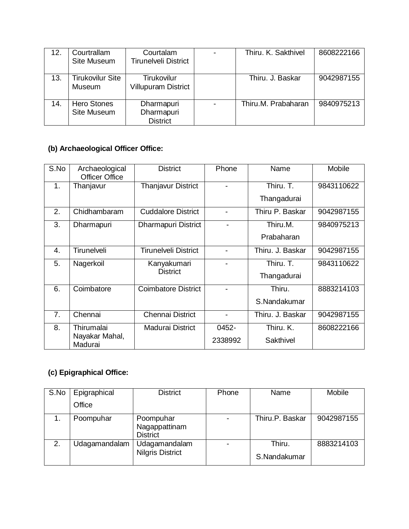| 12. | Courtrallam<br>Site Museum        | Courtalam<br><b>Tirunelveli District</b>         | Thiru. K. Sakthivel | 8608222166 |
|-----|-----------------------------------|--------------------------------------------------|---------------------|------------|
| 13. | <b>Tirukovilur Site</b><br>Museum | <b>Tirukovilur</b><br><b>Villupuram District</b> | Thiru, J. Baskar    | 9042987155 |
| 14. | <b>Hero Stones</b><br>Site Museum | Dharmapuri<br>Dharmapuri<br><b>District</b>      | Thiru.M. Prabaharan | 9840975213 |

# **(b) Archaeological Officer Office:**

| S.No | Archaeological<br><b>Officer Office</b> | <b>District</b>            | Phone          | Name             | Mobile     |
|------|-----------------------------------------|----------------------------|----------------|------------------|------------|
| 1.   | Thanjavur                               | <b>Thanjavur District</b>  | $\blacksquare$ | Thiru. T.        | 9843110622 |
|      |                                         |                            |                | Thangadurai      |            |
| 2.   | Chidhambaram                            | <b>Cuddalore District</b>  |                | Thiru P. Baskar  | 9042987155 |
| 3.   | Dharmapuri                              | Dharmapuri District        |                | Thiru.M.         | 9840975213 |
|      |                                         |                            |                | Prabaharan       |            |
| 4.   | Tirunelveli                             | Tirunelveli District       |                | Thiru, J. Baskar | 9042987155 |
| 5.   | Nagerkoil                               | Kanyakumari                | -              | Thiru. T.        | 9843110622 |
|      |                                         | <b>District</b>            |                | Thangadurai      |            |
| 6.   | Coimbatore                              | <b>Coimbatore District</b> | L.             | Thiru.           | 8883214103 |
|      |                                         |                            |                | S.Nandakumar     |            |
| 7.   | Chennai                                 | <b>Chennai District</b>    |                | Thiru. J. Baskar | 9042987155 |
| 8.   | Thirumalai                              | <b>Madurai District</b>    | 0452-          | Thiru, K.        | 8608222166 |
|      | Nayakar Mahal,<br>Madurai               |                            | 2338992        | Sakthivel        |            |

# **(c) Epigraphical Office:**

| S.No | Epigraphical  | <b>District</b>                               | Phone | Name                   | Mobile     |
|------|---------------|-----------------------------------------------|-------|------------------------|------------|
|      | Office        |                                               |       |                        |            |
|      | Poompuhar     | Poompuhar<br>Nagappattinam<br><b>District</b> |       | Thiru.P. Baskar        | 9042987155 |
| 2.   | Udagamandalam | Udagamandalam<br><b>Nilgris District</b>      |       | Thiru.<br>S.Nandakumar | 8883214103 |